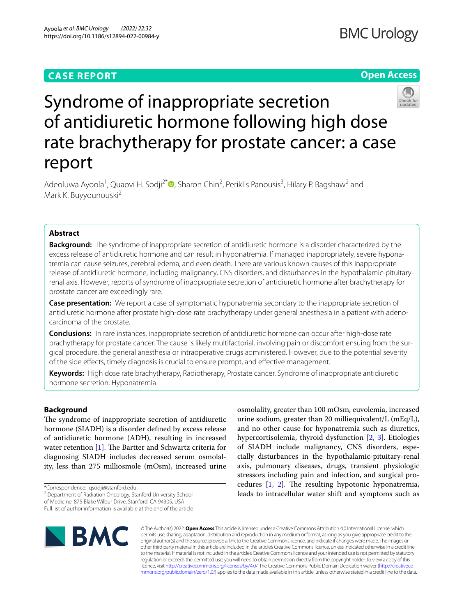## **CASE REPORT**

## **Open Access**



# Syndrome of inappropriate secretion of antidiuretic hormone following high dose rate brachytherapy for prostate cancer: a case report

Adeoluwa Ayoola<sup>1</sup>[,](http://orcid.org/0000-0002-9469-1388) Quaovi H. Sodji<sup>2\*</sup> (D, Sharon Chin<sup>2</sup>, Periklis Panousis<sup>3</sup>, Hilary P. Bagshaw<sup>2</sup> and Mark K. Buyyounouski<sup>2</sup>

### **Abstract**

**Background:** The syndrome of inappropriate secretion of antidiuretic hormone is a disorder characterized by the excess release of antidiuretic hormone and can result in hyponatremia. If managed inappropriately, severe hyponatremia can cause seizures, cerebral edema, and even death. There are various known causes of this inappropriate release of antidiuretic hormone, including malignancy, CNS disorders, and disturbances in the hypothalamic-pituitaryrenal axis. However, reports of syndrome of inappropriate secretion of antidiuretic hormone after brachytherapy for prostate cancer are exceedingly rare.

**Case presentation:** We report a case of symptomatic hyponatremia secondary to the inappropriate secretion of antidiuretic hormone after prostate high-dose rate brachytherapy under general anesthesia in a patient with adenocarcinoma of the prostate.

**Conclusions:** In rare instances, inappropriate secretion of antidiuretic hormone can occur after high-dose rate brachytherapy for prostate cancer. The cause is likely multifactorial, involving pain or discomfort ensuing from the surgical procedure, the general anesthesia or intraoperative drugs administered. However, due to the potential severity of the side efects, timely diagnosis is crucial to ensure prompt, and efective management.

**Keywords:** High dose rate brachytherapy, Radiotherapy, Prostate cancer, Syndrome of inappropriate antidiuretic hormone secretion, Hyponatremia

## **Background**

The syndrome of inappropriate secretion of antidiuretic hormone (SIADH) is a disorder defned by excess release of antidiuretic hormone (ADH), resulting in increased water retention  $[1]$  $[1]$ . The Bartter and Schwartz criteria for diagnosing SIADH includes decreased serum osmolality, less than 275 milliosmole (mOsm), increased urine

<sup>2</sup> Department of Radiation Oncology, Stanford University School of Medicine, 875 Blake Wilbur Drive, Stanford, CA 94305, USA

Full list of author information is available at the end of the article

osmolality, greater than 100 mOsm, euvolemia, increased urine sodium, greater than 20 milliequivalent/L (mEq/L), and no other cause for hyponatremia such as diuretics, hypercortisolemia, thyroid dysfunction [[2,](#page-2-1) [3\]](#page-2-2). Etiologies of SIADH include malignancy, CNS disorders, especially disturbances in the hypothalamic-pituitary-renal axis, pulmonary diseases, drugs, transient physiologic stressors including pain and infection, and surgical procedures  $[1, 2]$  $[1, 2]$  $[1, 2]$  $[1, 2]$ . The resulting hypotonic hyponatremia, leads to intracellular water shift and symptoms such as



© The Author(s) 2022. **Open Access** This article is licensed under a Creative Commons Attribution 4.0 International License, which permits use, sharing, adaptation, distribution and reproduction in any medium or format, as long as you give appropriate credit to the original author(s) and the source, provide a link to the Creative Commons licence, and indicate if changes were made. The images or other third party material in this article are included in the article's Creative Commons licence, unless indicated otherwise in a credit line to the material. If material is not included in the article's Creative Commons licence and your intended use is not permitted by statutory regulation or exceeds the permitted use, you will need to obtain permission directly from the copyright holder. To view a copy of this licence, visit [http://creativecommons.org/licenses/by/4.0/.](http://creativecommons.org/licenses/by/4.0/) The Creative Commons Public Domain Dedication waiver ([http://creativeco](http://creativecommons.org/publicdomain/zero/1.0/) [mmons.org/publicdomain/zero/1.0/](http://creativecommons.org/publicdomain/zero/1.0/)) applies to the data made available in this article, unless otherwise stated in a credit line to the data.

<sup>\*</sup>Correspondence: qsodji@stanford.edu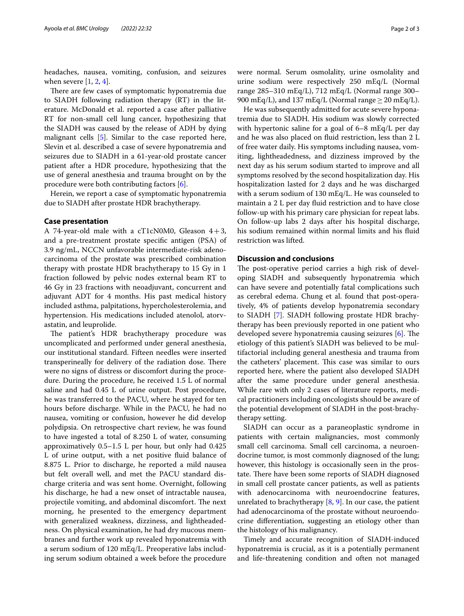headaches, nausea, vomiting, confusion, and seizures when severe  $[1, 2, 4]$  $[1, 2, 4]$  $[1, 2, 4]$  $[1, 2, 4]$  $[1, 2, 4]$ .

There are few cases of symptomatic hyponatremia due to SIADH following radiation therapy (RT) in the literature. McDonald et al. reported a case after palliative RT for non-small cell lung cancer, hypothesizing that the SIADH was caused by the release of ADH by dying malignant cells [\[5](#page-2-4)]. Similar to the case reported here, Slevin et al. described a case of severe hyponatremia and seizures due to SIADH in a 61-year-old prostate cancer patient after a HDR procedure, hypothesizing that the use of general anesthesia and trauma brought on by the procedure were both contributing factors [[6\]](#page-2-5).

Herein, we report a case of symptomatic hyponatremia due to SIADH after prostate HDR brachytherapy.

#### **Case presentation**

A 74-year-old male with a cT1cN0M0, Gleason  $4+3$ , and a pre-treatment prostate specifc antigen (PSA) of 3.9 ng/mL, NCCN unfavorable intermediate-risk adenocarcinoma of the prostate was prescribed combination therapy with prostate HDR brachytherapy to 15 Gy in 1 fraction followed by pelvic nodes external beam RT to 46 Gy in 23 fractions with neoadjuvant, concurrent and adjuvant ADT for 4 months. His past medical history included asthma, palpitations, hypercholesterolemia, and hypertension. His medications included atenolol, atorvastatin, and leuprolide.

The patient's HDR brachytherapy procedure was uncomplicated and performed under general anesthesia, our institutional standard. Fifteen needles were inserted transperineally for delivery of the radiation dose. There were no signs of distress or discomfort during the procedure. During the procedure, he received 1.5 L of normal saline and had 0.45 L of urine output. Post procedure, he was transferred to the PACU, where he stayed for ten hours before discharge. While in the PACU, he had no nausea, vomiting or confusion, however he did develop polydipsia. On retrospective chart review, he was found to have ingested a total of 8.250 L of water, consuming approximatively 0.5–1.5 L per hour, but only had 0.425 L of urine output, with a net positive fuid balance of 8.875 L. Prior to discharge, he reported a mild nausea but felt overall well, and met the PACU standard discharge criteria and was sent home. Overnight, following his discharge, he had a new onset of intractable nausea, projectile vomiting, and abdominal discomfort. The next morning, he presented to the emergency department with generalized weakness, dizziness, and lightheadedness. On physical examination, he had dry mucous membranes and further work up revealed hyponatremia with a serum sodium of 120 mEq/L. Preoperative labs including serum sodium obtained a week before the procedure were normal. Serum osmolality, urine osmolality and urine sodium were respectively 250 mEq/L (Normal range 285–310 mEq/L), 712 mEq/L (Normal range 300– 900 mEq/L), and 137 mEq/L (Normal range  $\geq$  20 mEq/L).

He was subsequently admitted for acute severe hyponatremia due to SIADH. His sodium was slowly corrected with hypertonic saline for a goal of 6–8 mEq/L per day and he was also placed on fuid restriction, less than 2 L of free water daily. His symptoms including nausea, vomiting, lightheadedness, and dizziness improved by the next day as his serum sodium started to improve and all symptoms resolved by the second hospitalization day. His hospitalization lasted for 2 days and he was discharged with a serum sodium of 130 mEq/L. He was counseled to maintain a 2 L per day fuid restriction and to have close follow-up with his primary care physician for repeat labs. On follow-up labs 2 days after his hospital discharge, his sodium remained within normal limits and his fuid restriction was lifted.

#### **Discussion and conclusions**

The post-operative period carries a high risk of developing SIADH and subsequently hyponatremia which can have severe and potentially fatal complications such as cerebral edema. Chung et al. found that post-operatively, 4% of patients develop hyponatremia secondary to SIADH [\[7](#page-2-6)]. SIADH following prostate HDR brachytherapy has been previously reported in one patient who developed severe hyponatremia causing seizures  $[6]$ . The etiology of this patient's SIADH was believed to be multifactorial including general anesthesia and trauma from the catheters' placement. This case was similar to ours reported here, where the patient also developed SIADH after the same procedure under general anesthesia. While rare with only 2 cases of literature reports, medical practitioners including oncologists should be aware of the potential development of SIADH in the post-brachytherapy setting.

SIADH can occur as a paraneoplastic syndrome in patients with certain malignancies, most commonly small cell carcinoma. Small cell carcinoma, a neuroendocrine tumor, is most commonly diagnosed of the lung; however, this histology is occasionally seen in the prostate. There have been some reports of SIADH diagnosed in small cell prostate cancer patients, as well as patients with adenocarcinoma with neuroendocrine features, unrelated to brachytherapy  $[8, 9]$  $[8, 9]$  $[8, 9]$  $[8, 9]$ . In our case, the patient had adenocarcinoma of the prostate without neuroendocrine diferentiation, suggesting an etiology other than the histology of his malignancy.

Timely and accurate recognition of SIADH-induced hyponatremia is crucial, as it is a potentially permanent and life-threatening condition and often not managed